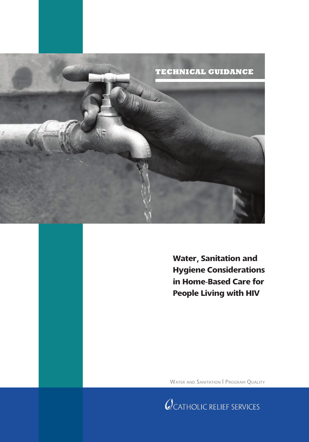

**Water, Sanitation and Hygiene Considerations in Home-Based Care for People Living with HIV**

WATER AND SANITATION | PROGRAM QUALITY

 $Q$ CATHOLIC RELIEF SERVICES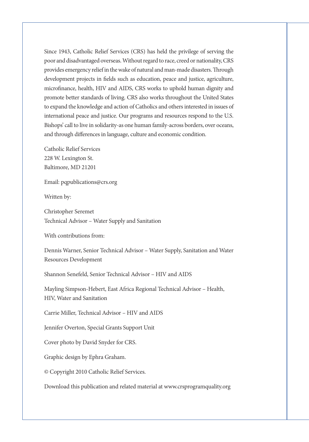Since 1943, Catholic Relief Services (CRS) has held the privilege of serving the poor and disadvantaged overseas. Without regard to race, creed or nationality, CRS provides emergency relief in the wake of natural and man-made disasters. Through development projects in fields such as education, peace and justice, agriculture, microfinance, health, HIV and AIDS, CRS works to uphold human dignity and promote better standards of living. CRS also works throughout the United States to expand the knowledge and action of Catholics and others interested in issues of international peace and justice. Our programs and resources respond to the U.S. Bishops' call to live in solidarity-as one human family-across borders, over oceans, and through differences in language, culture and economic condition.

Catholic Relief Services 228 W. Lexington St. Baltimore, MD 21201

Email: pqpublications@crs.org

Written by:

Christopher Seremet Technical Advisor – Water Supply and Sanitation

With contributions from:

Dennis Warner, Senior Technical Advisor – Water Supply, Sanitation and Water Resources Development

Shannon Senefeld, Senior Technical Advisor – HIV and AIDS

Mayling Simpson-Hebert, East Africa Regional Technical Advisor – Health, HIV, Water and Sanitation

Carrie Miller, Technical Advisor – HIV and AIDS

Jennifer Overton, Special Grants Support Unit

Cover photo by David Snyder for CRS.

Graphic design by Ephra Graham.

© Copyright 2010 Catholic Relief Services.

Download this publication and related material at www.crsprogramquality.org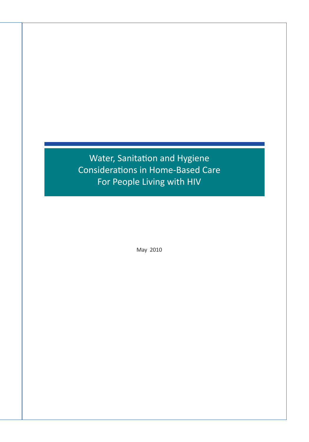# Water, Sanitation and Hygiene Considerations in Home-Based Care For People Living with HIV

May 2010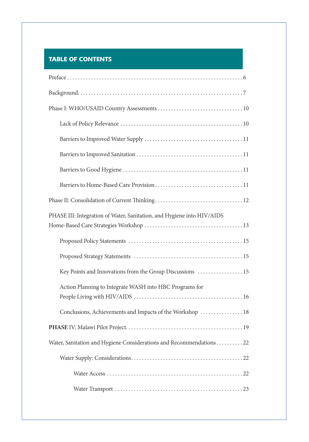# **TaBLe of ConTenTS**

| PHASE III: Integration of Water, Sanitation, and Hygiene into HIV/AIDS |
|------------------------------------------------------------------------|
|                                                                        |
|                                                                        |
| Key Points and Innovations from the Group Discussions  15              |
| Action Planning to Integrate WASH into HBC Programs for                |
| Conclusions, Achievements and Impacts of the Workshop  18              |
|                                                                        |
| Water, Sanitation and Hygiene Considerations and Recommendations22     |
|                                                                        |
|                                                                        |
|                                                                        |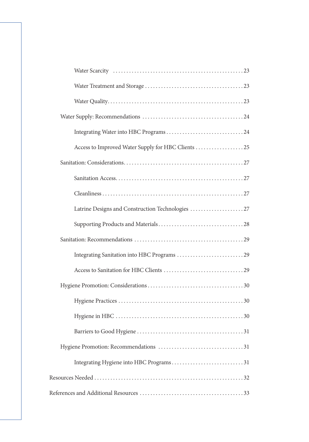| Access to Improved Water Supply for HBC Clients 25 |
|----------------------------------------------------|
|                                                    |
|                                                    |
|                                                    |
| Latrine Designs and Construction Technologies 27   |
|                                                    |
|                                                    |
|                                                    |
|                                                    |
|                                                    |
|                                                    |
|                                                    |
|                                                    |
|                                                    |
| Integrating Hygiene into HBC Programs31            |
|                                                    |
|                                                    |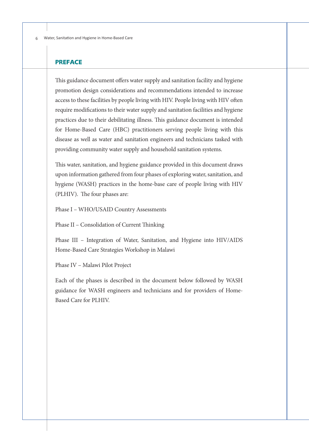# <span id="page-5-0"></span>**PrefaCe**

This guidance document offers water supply and sanitation facility and hygiene promotion design considerations and recommendations intended to increase access to these facilities by people living with HIV. People living with HIV often require modifications to their water supply and sanitation facilities and hygiene practices due to their debilitating illness. This guidance document is intended for Home-Based Care (HBC) practitioners serving people living with this disease as well as water and sanitation engineers and technicians tasked with providing community water supply and household sanitation systems.

This water, sanitation, and hygiene guidance provided in this document draws upon information gathered from four phases of exploring water, sanitation, and hygiene (WASH) practices in the home-base care of people living with HIV (PLHIV). The four phases are:

Phase I – WHO/USAID Country Assessments

Phase II – Consolidation of Current Thinking

Phase III – Integration of Water, Sanitation, and Hygiene into HIV/AIDS Home-Based Care Strategies Workshop in Malawi

Phase IV – Malawi Pilot Project

Each of the phases is described in the document below followed by WASH guidance for WASH engineers and technicians and for providers of Home-Based Care for PLHIV.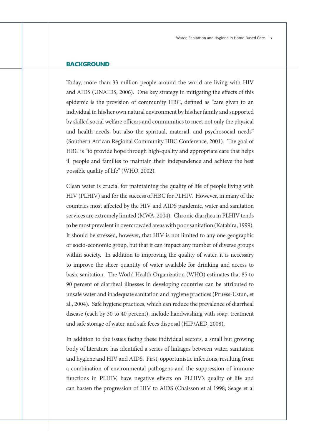# <span id="page-6-0"></span>**BACKGROUND**

Today, more than 33 million people around the world are living with HIV and AIDS (UNAIDS, 2006). One key strategy in mitigating the effects of this epidemic is the provision of community HBC, defined as "care given to an individual in his/her own natural environment by his/her family and supported by skilled social welfare officers and communities to meet not only the physical and health needs, but also the spiritual, material, and psychosocial needs" (Southern African Regional Community HBC Conference, 2001). The goal of HBC is "to provide hope through high-quality and appropriate care that helps ill people and families to maintain their independence and achieve the best possible quality of life" (WHO, 2002).

Clean water is crucial for maintaining the quality of life of people living with HIV (PLHIV) and for the success of HBC for PLHIV. However, in many of the countries most affected by the HIV and AIDS pandemic, water and sanitation services are extremely limited (MWA, 2004). Chronic diarrhea in PLHIV tends to be most prevalent in overcrowded areas with poor sanitation (Katabira, 1999). It should be stressed, however, that HIV is not limited to any one geographic or socio-economic group, but that it can impact any number of diverse groups within society. In addition to improving the quality of water, it is necessary to improve the sheer quantity of water available for drinking and access to basic sanitation. The World Health Organization (WHO) estimates that 85 to 90 percent of diarrheal illnesses in developing countries can be attributed to unsafe water and inadequate sanitation and hygiene practices (Pruess-Ustun, et al., 2004). Safe hygiene practices, which can reduce the prevalence of diarrheal disease (each by 30 to 40 percent), include handwashing with soap, treatment and safe storage of water, and safe feces disposal (HIP/AED, 2008).

In addition to the issues facing these individual sectors, a small but growing body of literature has identified a series of linkages between water, sanitation and hygiene and HIV and AIDS. First, opportunistic infections, resulting from a combination of environmental pathogens and the suppression of immune functions in PLHIV, have negative effects on PLHIV's quality of life and can hasten the progression of HIV to AIDS (Chaisson et al 1998; Seage et al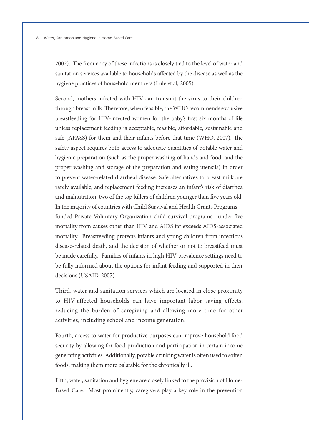2002). The frequency of these infections is closely tied to the level of water and sanitation services available to households affected by the disease as well as the hygiene practices of household members (Lule et al, 2005).

Second, mothers infected with HIV can transmit the virus to their children through breast milk. Therefore, when feasible, the WHO recommends exclusive breastfeeding for HIV-infected women for the baby's first six months of life unless replacement feeding is acceptable, feasible, affordable, sustainable and safe (AFASS) for them and their infants before that time (WHO, 2007). The safety aspect requires both access to adequate quantities of potable water and hygienic preparation (such as the proper washing of hands and food, and the proper washing and storage of the preparation and eating utensils) in order to prevent water-related diarrheal disease. Safe alternatives to breast milk are rarely available, and replacement feeding increases an infant's risk of diarrhea and malnutrition, two of the top killers of children younger than five years old. In the majority of countries with Child Survival and Health Grants Programs funded Private Voluntary Organization child survival programs—under-five mortality from causes other than HIV and AIDS far exceeds AIDS-associated mortality. Breastfeeding protects infants and young children from infectious disease-related death, and the decision of whether or not to breastfeed must be made carefully. Families of infants in high HIV-prevalence settings need to be fully informed about the options for infant feeding and supported in their decisions (USAID, 2007).

Third, water and sanitation services which are located in close proximity to HIV-affected households can have important labor saving effects, reducing the burden of caregiving and allowing more time for other activities, including school and income generation.

Fourth, access to water for productive purposes can improve household food security by allowing for food production and participation in certain income generating activities. Additionally, potable drinking water is often used to soften foods, making them more palatable for the chronically ill.

Fifth, water, sanitation and hygiene are closely linked to the provision of Home-Based Care. Most prominently, caregivers play a key role in the prevention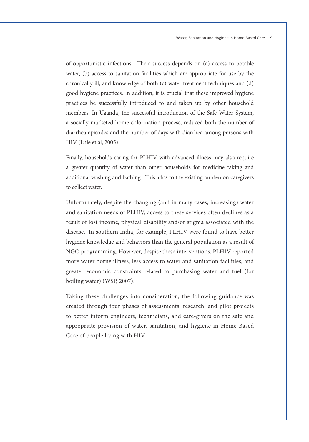of opportunistic infections. Their success depends on (a) access to potable water, (b) access to sanitation facilities which are appropriate for use by the chronically ill, and knowledge of both (c) water treatment techniques and (d) good hygiene practices. In addition, it is crucial that these improved hygiene practices be successfully introduced to and taken up by other household members. In Uganda, the successful introduction of the Safe Water System, a socially marketed home chlorination process, reduced both the number of diarrhea episodes and the number of days with diarrhea among persons with HIV (Lule et al, 2005).

Finally, households caring for PLHIV with advanced illness may also require a greater quantity of water than other households for medicine taking and additional washing and bathing. This adds to the existing burden on caregivers to collect water.

Unfortunately, despite the changing (and in many cases, increasing) water and sanitation needs of PLHIV, access to these services often declines as a result of lost income, physical disability and/or stigma associated with the disease. In southern India, for example, PLHIV were found to have better hygiene knowledge and behaviors than the general population as a result of NGO programming. However, despite these interventions, PLHIV reported more water borne illness, less access to water and sanitation facilities, and greater economic constraints related to purchasing water and fuel (for boiling water) (WSP, 2007).

Taking these challenges into consideration, the following guidance was created through four phases of assessments, research, and pilot projects to better inform engineers, technicians, and care-givers on the safe and appropriate provision of water, sanitation, and hygiene in Home-Based Care of people living with HIV.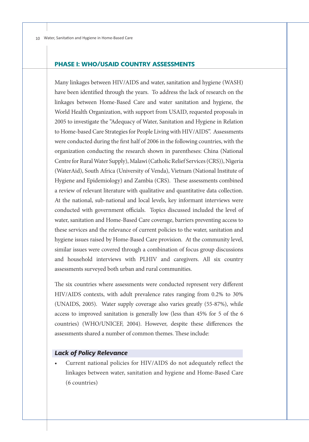### <span id="page-9-0"></span>**PHaSe I: WHo/uSaId CounTry aSSeSSmenTS**

Many linkages between HIV/AIDS and water, sanitation and hygiene (WASH) have been identified through the years. To address the lack of research on the linkages between Home-Based Care and water sanitation and hygiene, the World Health Organization, with support from USAID, requested proposals in 2005 to investigate the "Adequacy of Water, Sanitation and Hygiene in Relation to Home-based Care Strategies for People Living with HIV/AIDS". Assessments were conducted during the first half of 2006 in the following countries, with the organization conducting the research shown in parentheses: China (National Centre for Rural Water Supply), Malawi (Catholic Relief Services (CRS)), Nigeria (WaterAid), South Africa (University of Venda), Vietnam (National Institute of Hygiene and Epidemiology) and Zambia (CRS). These assessments combined a review of relevant literature with qualitative and quantitative data collection. At the national, sub-national and local levels, key informant interviews were conducted with government officials. Topics discussed included the level of water, sanitation and Home-Based Care coverage, barriers preventing access to these services and the relevance of current policies to the water, sanitation and hygiene issues raised by Home-Based Care provision. At the community level, similar issues were covered through a combination of focus group discussions and household interviews with PLHIV and caregivers. All six country assessments surveyed both urban and rural communities.

The six countries where assessments were conducted represent very different HIV/AIDS contexts, with adult prevalence rates ranging from 0.2% to 30% (UNAIDS, 2005). Water supply coverage also varies greatly (55-87%), while access to improved sanitation is generally low (less than 45% for 5 of the 6 countries) (WHO/UNICEF, 2004). However, despite these differences the assessments shared a number of common themes. These include:

# *Lack of Policy Relevance*

Current national policies for HIV/AIDS do not adequately reflect the linkages between water, sanitation and hygiene and Home-Based Care (6 countries)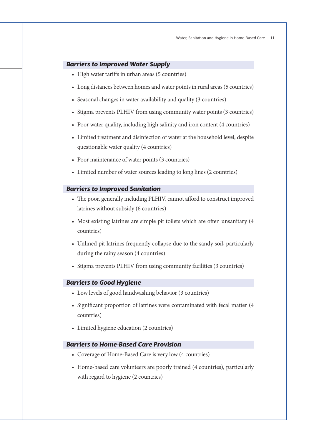#### <span id="page-10-0"></span>*Barriers to Improved Water Supply*

- High water tariffs in urban areas (5 countries)
- • Long distances between homes and water points in rural areas (5 countries)
- Seasonal changes in water availability and quality (3 countries)
- Stigma prevents PLHIV from using community water points (3 countries)
- Poor water quality, including high salinity and iron content (4 countries)
- • Limited treatment and disinfection of water at the household level, despite questionable water quality (4 countries)
- Poor maintenance of water points (3 countries)
- • Limited number of water sources leading to long lines (2 countries)

### *Barriers to Improved Sanitation*

- • The poor, generally including PLHIV, cannot afford to construct improved latrines without subsidy (6 countries)
- Most existing latrines are simple pit toilets which are often unsanitary (4 countries)
- • Unlined pit latrines frequently collapse due to the sandy soil, particularly during the rainy season (4 countries)
- Stigma prevents PLHIV from using community facilities (3 countries)

# *Barriers to Good Hygiene*

- • Low levels of good handwashing behavior (3 countries)
- Significant proportion of latrines were contaminated with fecal matter (4 countries)
- • Limited hygiene education (2 countries)

### *Barriers to Home-Based Care Provision*

- • Coverage of Home-Based Care is very low (4 countries)
- • Home-based care volunteers are poorly trained (4 countries), particularly with regard to hygiene (2 countries)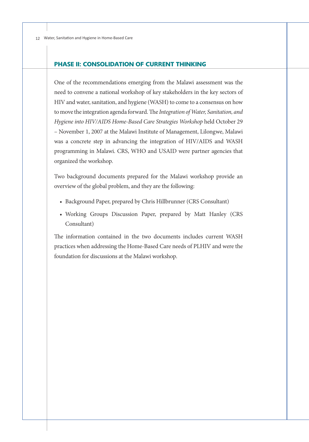### <span id="page-11-0"></span>**PHASE II: CONSOLIDATION OF CURRENT THINKING**

One of the recommendations emerging from the Malawi assessment was the need to convene a national workshop of key stakeholders in the key sectors of HIV and water, sanitation, and hygiene (WASH) to come to a consensus on how to move the integration agenda forward. The *Integration of Water, Sanitation, and Hygiene into HIV/AIDS Home-Based Care Strategies Workshop* held October 29 – November 1, 2007 at the Malawi Institute of Management, Lilongwe, Malawi was a concrete step in advancing the integration of HIV/AIDS and WASH programming in Malawi. CRS, WHO and USAID were partner agencies that organized the workshop.

Two background documents prepared for the Malawi workshop provide an overview of the global problem, and they are the following:

- • Background Paper, prepared by Chris Hillbrunner (CRS Consultant)
- Working Groups Discussion Paper, prepared by Matt Hanley (CRS Consultant)

The information contained in the two documents includes current WASH practices when addressing the Home-Based Care needs of PLHIV and were the foundation for discussions at the Malawi workshop.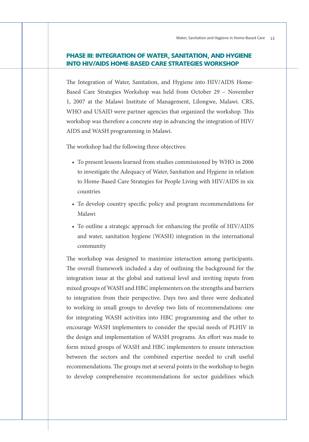# <span id="page-12-0"></span>**PHaSe III: InTegraTIon of WaTer, SanITaTIon, and HygIene InTo HIV/aIdS Home-BaSed Care STraTegIeS WorkSHoP**

The Integration of Water, Sanitation, and Hygiene into HIV/AIDS Home-Based Care Strategies Workshop was held from October 29 – November 1, 2007 at the Malawi Institute of Management, Lilongwe, Malawi. CRS, WHO and USAID were partner agencies that organized the workshop. This workshop was therefore a concrete step in advancing the integration of HIV/ AIDS and WASH programming in Malawi.

The workshop had the following three objectives:

- • To present lessons learned from studies commissioned by WHO in 2006 to investigate the Adequacy of Water, Sanitation and Hygiene in relation to Home-Based Care Strategies for People Living with HIV/AIDS in six countries
- • To develop country specific policy and program recommendations for Malawi
- To outline a strategic approach for enhancing the profile of HIV/AIDS and water, sanitation hygiene (WASH) integration in the international community

The workshop was designed to maximize interaction among participants. The overall framework included a day of outlining the background for the integration issue at the global and national level and inviting inputs from mixed groups of WASH and HBC implementers on the strengths and barriers to integration from their perspective. Days two and three were dedicated to working in small groups to develop two lists of recommendations: one for integrating WASH activities into HBC programming and the other to encourage WASH implementers to consider the special needs of PLHIV in the design and implementation of WASH programs. An effort was made to form mixed groups of WASH and HBC implementers to ensure interaction between the sectors and the combined expertise needed to craft useful recommendations. The groups met at several points in the workshop to begin to develop comprehensive recommendations for sector guidelines which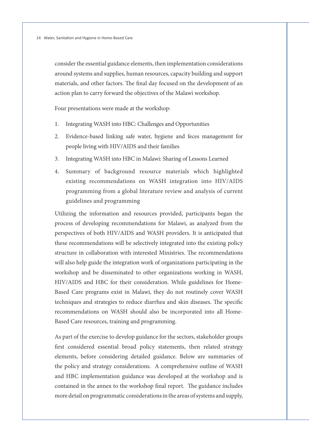consider the essential guidance elements, then implementation considerations around systems and supplies, human resources, capacity building and support materials, and other factors. The final day focused on the development of an action plan to carry forward the objectives of the Malawi workshop.

Four presentations were made at the workshop:

- 1. Integrating WASH into HBC: Challenges and Opportunities
- 2. Evidence-based linking safe water, hygiene and feces management for people living with HIV/AIDS and their families
- 3. Integrating WASH into HBC in Malawi: Sharing of Lessons Learned
- 4. Summary of background resource materials which highlighted existing recommendations on WASH integration into HIV/AIDS programming from a global literature review and analysis of current guidelines and programming

Utilizing the information and resources provided, participants began the process of developing recommendations for Malawi, as analyzed from the perspectives of both HIV/AIDS and WASH providers. It is anticipated that these recommendations will be selectively integrated into the existing policy structure in collaboration with interested Ministries. The recommendations will also help guide the integration work of organizations participating in the workshop and be disseminated to other organizations working in WASH, HIV/AIDS and HBC for their consideration. While guidelines for Home-Based Care programs exist in Malawi, they do not routinely cover WASH techniques and strategies to reduce diarrhea and skin diseases. The specific recommendations on WASH should also be incorporated into all Home-Based Care resources, training and programming.

As part of the exercise to develop guidance for the sectors, stakeholder groups first considered essential broad policy statements, then related strategy elements, before considering detailed guidance. Below are summaries of the policy and strategy considerations. A comprehensive outline of WASH and HBC implementation guidance was developed at the workshop and is contained in the annex to the workshop final report. The guidance includes more detail on programmatic considerations in the areas of systems and supply,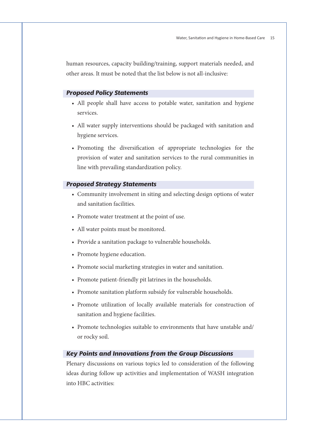<span id="page-14-0"></span>human resources, capacity building/training, support materials needed, and other areas. It must be noted that the list below is not all-inclusive:

# *Proposed Policy Statements*

- All people shall have access to potable water, sanitation and hygiene services.
- • All water supply interventions should be packaged with sanitation and hygiene services.
- • Promoting the diversification of appropriate technologies for the provision of water and sanitation services to the rural communities in line with prevailing standardization policy.

### *Proposed Strategy Statements*

- • Community involvement in siting and selecting design options of water and sanitation facilities.
- Promote water treatment at the point of use.
- All water points must be monitored.
- Provide a sanitation package to vulnerable households.
- Promote hygiene education.
- • Promote social marketing strategies in water and sanitation.
- • Promote patient-friendly pit latrines in the households.
- • Promote sanitation platform subsidy for vulnerable households.
- • Promote utilization of locally available materials for construction of sanitation and hygiene facilities.
- • Promote technologies suitable to environments that have unstable and/ or rocky soil.

#### *Key Points and Innovations from the Group Discussions*

Plenary discussions on various topics led to consideration of the following ideas during follow up activities and implementation of WASH integration into HBC activities: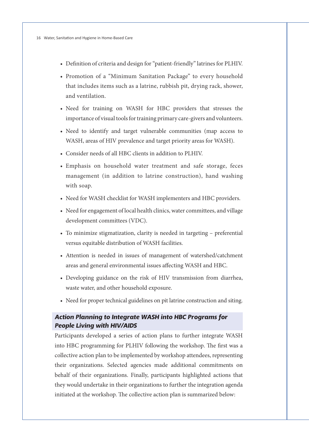- <span id="page-15-0"></span>• Definition of criteria and design for "patient-friendly" latrines for PLHIV.
- Promotion of a "Minimum Sanitation Package" to every household that includes items such as a latrine, rubbish pit, drying rack, shower, and ventilation.
- • Need for training on WASH for HBC providers that stresses the importance of visual tools for training primary care-givers and volunteers.
- • Need to identify and target vulnerable communities (map access to WASH, areas of HIV prevalence and target priority areas for WASH).
- • Consider needs of all HBC clients in addition to PLHIV.
- • Emphasis on household water treatment and safe storage, feces management (in addition to latrine construction), hand washing with soap.
- Need for WASH checklist for WASH implementers and HBC providers.
- Need for engagement of local health clinics, water committees, and village development committees (VDC).
- To minimize stigmatization, clarity is needed in targeting preferential versus equitable distribution of WASH facilities.
- Attention is needed in issues of management of watershed/catchment areas and general environmental issues affecting WASH and HBC.
- • Developing guidance on the risk of HIV transmission from diarrhea, waste water, and other household exposure.
- Need for proper technical guidelines on pit latrine construction and siting.

# *Action Planning to Integrate WASH into HBC Programs for People Living with HIV/AIDS*

Participants developed a series of action plans to further integrate WASH into HBC programming for PLHIV following the workshop. The first was a collective action plan to be implemented by workshop attendees, representing their organizations. Selected agencies made additional commitments on behalf of their organizations. Finally, participants highlighted actions that they would undertake in their organizations to further the integration agenda initiated at the workshop. The collective action plan is summarized below: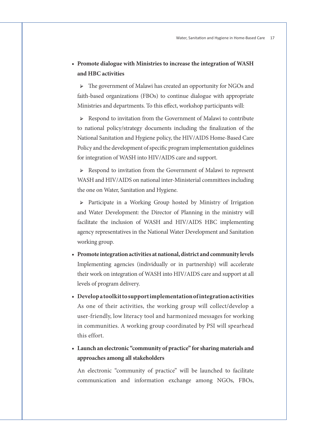# **• Promote dialogue with Ministries to increase the integration of Wash and hBC activities**

➢ The government of Malawi has created an opportunity for NGOs and faith-based organizations (FBOs) to continue dialogue with appropriate Ministries and departments. To this effect, workshop participants will:

➢ Respond to invitation from the Government of Malawi to contribute to national policy/strategy documents including the finalization of the National Sanitation and Hygiene policy, the HIV/AIDS Home-Based Care Policy and the development of specific program implementation guidelines for integration of WASH into HIV/AIDS care and support.

➢ Respond to invitation from the Government of Malawi to represent WASH and HIV/AIDS on national inter-Ministerial committees including the one on Water, Sanitation and Hygiene.

➢ Participate in a Working Group hosted by Ministry of Irrigation and Water Development: the Director of Planning in the ministry will facilitate the inclusion of WASH and HIV/AIDS HBC implementing agency representatives in the National Water Development and Sanitation working group.

- **• Promote integration activities at national, district and community levels**  Implementing agencies (individually or in partnership) will accelerate their work on integration of WASH into HIV/AIDS care and support at all levels of program delivery.
- **• Develop a toolkit to support implementation of integration activities**  As one of their activities, the working group will collect/develop a user-friendly, low literacy tool and harmonized messages for working in communities. A working group coordinated by PSI will spearhead this effort.
- **• Launch an electronic "community of practice" for sharing materials and approaches among all stakeholders**

An electronic "community of practice" will be launched to facilitate communication and information exchange among NGOs, FBOs,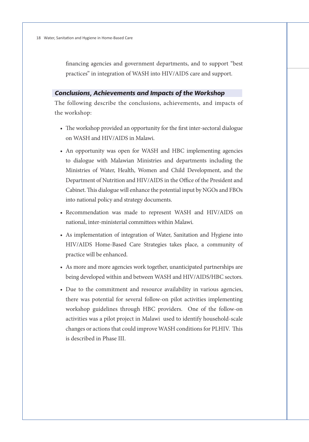<span id="page-17-0"></span>financing agencies and government departments, and to support "best practices" in integration of WASH into HIV/AIDS care and support.

# *Conclusions, Achievements and Impacts of the Workshop*

The following describe the conclusions, achievements, and impacts of the workshop:

- The workshop provided an opportunity for the first inter-sectoral dialogue on WASH and HIV/AIDS in Malawi.
- An opportunity was open for WASH and HBC implementing agencies to dialogue with Malawian Ministries and departments including the Ministries of Water, Health, Women and Child Development, and the Department of Nutrition and HIV/AIDS in the Office of the President and Cabinet. This dialogue will enhance the potential input by NGOs and FBOs into national policy and strategy documents.
- • Recommendation was made to represent WASH and HIV/AIDS on national, inter-ministerial committees within Malawi.
- As implementation of integration of Water, Sanitation and Hygiene into HIV/AIDS Home-Based Care Strategies takes place, a community of practice will be enhanced.
- As more and more agencies work together, unanticipated partnerships are being developed within and between WASH and HIV/AIDS/HBC sectors.
- Due to the commitment and resource availability in various agencies, there was potential for several follow-on pilot activities implementing workshop guidelines through HBC providers. One of the follow-on activities was a pilot project in Malawi used to identify household-scale changes or actions that could improve WASH conditions for PLHIV. This is described in Phase III.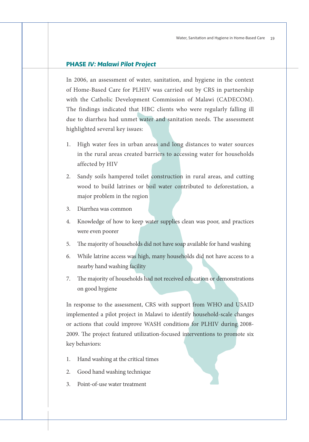#### <span id="page-18-0"></span>**PHaSe** *IV: Malawi Pilot Project*

In 2006, an assessment of water, sanitation, and hygiene in the context of Home-Based Care for PLHIV was carried out by CRS in partnership with the Catholic Development Commission of Malawi (CADECOM). The findings indicated that HBC clients who were regularly falling ill due to diarrhea had unmet water and sanitation needs. The assessment highlighted several key issues:

- 1. High water fees in urban areas and long distances to water sources in the rural areas created barriers to accessing water for households affected by HIV
- 2. Sandy soils hampered toilet construction in rural areas, and cutting wood to build latrines or boil water contributed to deforestation, a major problem in the region
- 3. Diarrhea was common
- 4. Knowledge of how to keep water supplies clean was poor, and practices were even poorer
- 5. The majority of households did not have soap available for hand washing
- 6. While latrine access was high, many households did not have access to a nearby hand washing facility
- 7. The majority of households had not received education or demonstrations on good hygiene

In response to the assessment, CRS with support from WHO and USAID implemented a pilot project in Malawi to identify household-scale changes or actions that could improve WASH conditions for PLHIV during 2008- 2009. The project featured utilization-focused interventions to promote six key behaviors:

- 1. Hand washing at the critical times
- 2. Good hand washing technique
- 3. Point-of-use water treatment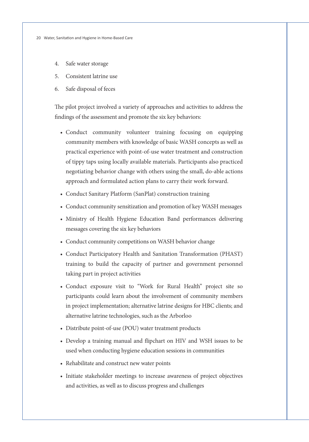- 4. Safe water storage
- 5. Consistent latrine use
- 6. Safe disposal of feces

The pilot project involved a variety of approaches and activities to address the findings of the assessment and promote the six key behaviors:

- Conduct community volunteer training focusing on equipping community members with knowledge of basic WASH concepts as well as practical experience with point-of-use water treatment and construction of tippy taps using locally available materials. Participants also practiced negotiating behavior change with others using the small, do-able actions approach and formulated action plans to carry their work forward.
- Conduct Sanitary Platform (SanPlat) construction training
- Conduct community sensitization and promotion of key WASH messages
- Ministry of Health Hygiene Education Band performances delivering messages covering the six key behaviors
- Conduct community competitions on WASH behavior change
- • Conduct Participatory Health and Sanitation Transformation (PHAST) training to build the capacity of partner and government personnel taking part in project activities
- • Conduct exposure visit to "Work for Rural Health" project site so participants could learn about the involvement of community members in project implementation; alternative latrine designs for HBC clients; and alternative latrine technologies, such as the Arborloo
- Distribute point-of-use (POU) water treatment products
- • Develop a training manual and flipchart on HIV and WSH issues to be used when conducting hygiene education sessions in communities
- • Rehabilitate and construct new water points
- • Initiate stakeholder meetings to increase awareness of project objectives and activities, as well as to discuss progress and challenges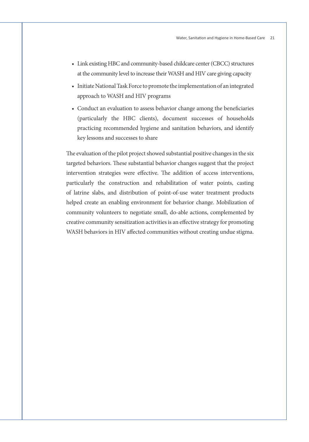- • Link existing HBC and community-based childcare center (CBCC) structures at the community level to increase their WASH and HIV care giving capacity
- • Initiate National Task Force to promote the implementation of an integrated approach to WASH and HIV programs
- • Conduct an evaluation to assess behavior change among the beneficiaries (particularly the HBC clients), document successes of households practicing recommended hygiene and sanitation behaviors, and identify key lessons and successes to share

The evaluation of the pilot project showed substantial positive changes in the six targeted behaviors. These substantial behavior changes suggest that the project intervention strategies were effective. The addition of access interventions, particularly the construction and rehabilitation of water points, casting of latrine slabs, and distribution of point-of-use water treatment products helped create an enabling environment for behavior change. Mobilization of community volunteers to negotiate small, do-able actions, complemented by creative community sensitization activities is an effective strategy for promoting WASH behaviors in HIV affected communities without creating undue stigma.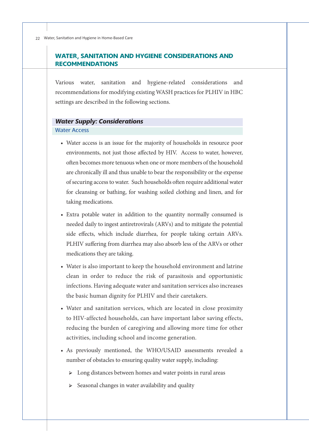# <span id="page-21-0"></span>**WaTer, SanITaTIon and HygIene ConSIderaTIonS and reCommendaTIonS**

Various water, sanitation and hygiene-related considerations and recommendations for modifying existing WASH practices for PLHIV in HBC settings are described in the following sections.

# *Water Supply: Considerations*

### Water Access

- • Water access is an issue for the majority of households in resource poor environments, not just those affected by HIV. Access to water, however, often becomes more tenuous when one or more members of the household are chronically ill and thus unable to bear the responsibility or the expense of securing access to water. Such households often require additional water for cleansing or bathing, for washing soiled clothing and linen, and for taking medications.
- Extra potable water in addition to the quantity normally consumed is needed daily to ingest antiretrovirals (ARVs) and to mitigate the potential side effects, which include diarrhea, for people taking certain ARVs. PLHIV suffering from diarrhea may also absorb less of the ARVs or other medications they are taking.
- Water is also important to keep the household environment and latrine clean in order to reduce the risk of parasitosis and opportunistic infections. Having adequate water and sanitation services also increases the basic human dignity for PLHIV and their caretakers.
- Water and sanitation services, which are located in close proximity to HIV-affected households, can have important labor saving effects, reducing the burden of caregiving and allowing more time for other activities, including school and income generation.
- As previously mentioned, the WHO/USAID assessments revealed a number of obstacles to ensuring quality water supply, including:
	- ➢ Long distances between homes and water points in rural areas
	- ➢ Seasonal changes in water availability and quality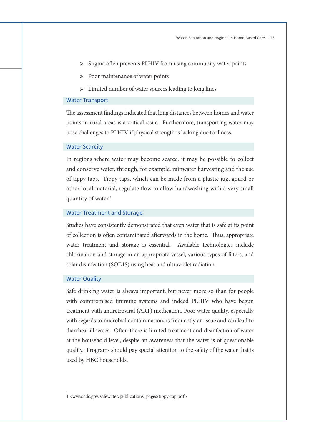- <span id="page-22-0"></span>➢ Stigma often prevents PLHIV from using community water points
- ➢ Poor maintenance of water points
- ➢ Limited number of water sources leading to long lines

#### Water Transport

The assessment findings indicated that long distances between homes and water points in rural areas is a critical issue. Furthermore, transporting water may pose challenges to PLHIV if physical strength is lacking due to illness.

### Water Scarcity

In regions where water may become scarce, it may be possible to collect and conserve water, through, for example, rainwater harvesting and the use of tippy taps. Tippy taps, which can be made from a plastic jug, gourd or other local material, regulate flow to allow handwashing with a very small quantity of water.<sup>1</sup>

#### Water Treatment and Storage

Studies have consistently demonstrated that even water that is safe at its point of collection is often contaminated afterwards in the home. Thus, appropriate water treatment and storage is essential. Available technologies include chlorination and storage in an appropriate vessel, various types of filters, and solar disinfection (SODIS) using heat and ultraviolet radiation.

#### Water Quality

Safe drinking water is always important, but never more so than for people with compromised immune systems and indeed PLHIV who have begun treatment with antiretroviral (ART) medication. Poor water quality, especially with regards to microbial contamination, is frequently an issue and can lead to diarrheal illnesses. Often there is limited treatment and disinfection of water at the household level, despite an awareness that the water is of questionable quality. Programs should pay special attention to the safety of the water that is used by HBC households.

<sup>1 &</sup>lt;www.cdc.gov/safewater/publications\_pages/tippy-tap.pdf>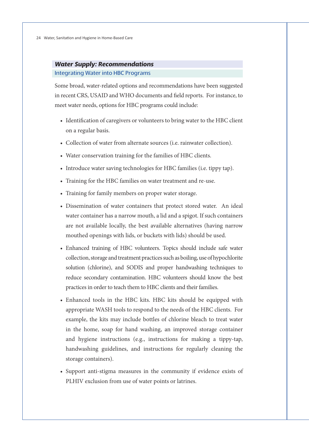# <span id="page-23-0"></span>*Water Supply: Recommendations* Integrating Water into HBC Programs

Some broad, water-related options and recommendations have been suggested in recent CRS, USAID and WHO documents and field reports. For instance, to meet water needs, options for HBC programs could include:

- Identification of caregivers or volunteers to bring water to the HBC client on a regular basis.
- • Collection of water from alternate sources (i.e. rainwater collection).
- • Water conservation training for the families of HBC clients.
- • Introduce water saving technologies for HBC families (i.e. tippy tap).
- Training for the HBC families on water treatment and re-use.
- Training for family members on proper water storage.
- Dissemination of water containers that protect stored water. An ideal water container has a narrow mouth, a lid and a spigot. If such containers are not available locally, the best available alternatives (having narrow mouthed openings with lids, or buckets with lids) should be used.
- • Enhanced training of HBC volunteers. Topics should include safe water collection, storage and treatment practices such as boiling, use of hypochlorite solution (chlorine), and SODIS and proper handwashing techniques to reduce secondary contamination. HBC volunteers should know the best practices in order to teach them to HBC clients and their families.
- Enhanced tools in the HBC kits. HBC kits should be equipped with appropriate WASH tools to respond to the needs of the HBC clients. For example, the kits may include bottles of chlorine bleach to treat water in the home, soap for hand washing, an improved storage container and hygiene instructions (e.g., instructions for making a tippy-tap, handwashing guidelines, and instructions for regularly cleaning the storage containers).
- • Support anti-stigma measures in the community if evidence exists of PLHIV exclusion from use of water points or latrines.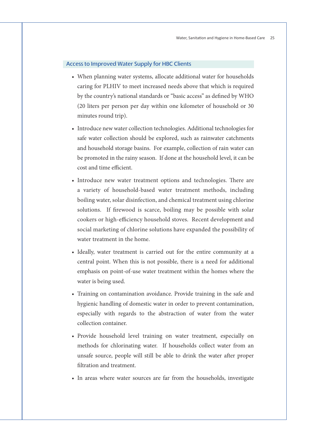#### <span id="page-24-0"></span>Access to Improved Water Supply for HBC Clients

- • When planning water systems, allocate additional water for households caring for PLHIV to meet increased needs above that which is required by the country's national standards or "basic access" as defined by WHO (20 liters per person per day within one kilometer of household or 30 minutes round trip).
- • Introduce new water collection technologies. Additional technologies for safe water collection should be explored, such as rainwater catchments and household storage basins. For example, collection of rain water can be promoted in the rainy season. If done at the household level, it can be cost and time efficient.
- Introduce new water treatment options and technologies. There are a variety of household-based water treatment methods, including boiling water, solar disinfection, and chemical treatment using chlorine solutions. If firewood is scarce, boiling may be possible with solar cookers or high-efficiency household stoves. Recent development and social marketing of chlorine solutions have expanded the possibility of water treatment in the home.
- • Ideally, water treatment is carried out for the entire community at a central point. When this is not possible, there is a need for additional emphasis on point-of-use water treatment within the homes where the water is being used.
- • Training on contamination avoidance. Provide training in the safe and hygienic handling of domestic water in order to prevent contamination, especially with regards to the abstraction of water from the water collection container.
- • Provide household level training on water treatment, especially on methods for chlorinating water. If households collect water from an unsafe source, people will still be able to drink the water after proper filtration and treatment.
- In areas where water sources are far from the households, investigate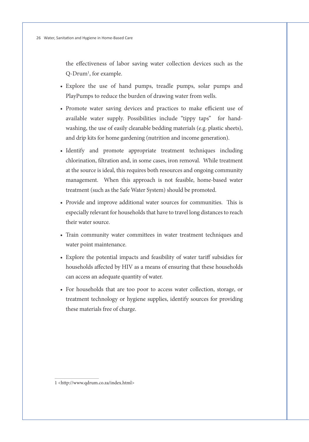the effectiveness of labor saving water collection devices such as the Q-Drum<sup>1</sup>, for example.

- • Explore the use of hand pumps, treadle pumps, solar pumps and PlayPumps to reduce the burden of drawing water from wells.
- • Promote water saving devices and practices to make efficient use of available water supply. Possibilities include "tippy taps" for handwashing, the use of easily cleanable bedding materials (e.g. plastic sheets), and drip kits for home gardening (nutrition and income generation).
- • Identify and promote appropriate treatment techniques including chlorination, filtration and, in some cases, iron removal. While treatment at the source is ideal, this requires both resources and ongoing community management. When this approach is not feasible, home-based water treatment (such as the Safe Water System) should be promoted.
- • Provide and improve additional water sources for communities. This is especially relevant for households that have to travel long distances to reach their water source.
- Train community water committees in water treatment techniques and water point maintenance.
- • Explore the potential impacts and feasibility of water tariff subsidies for households affected by HIV as a means of ensuring that these households can access an adequate quantity of water.
- For households that are too poor to access water collection, storage, or treatment technology or hygiene supplies, identify sources for providing these materials free of charge.

<sup>1 &</sup>lt;http://www.qdrum.co.za/index.html>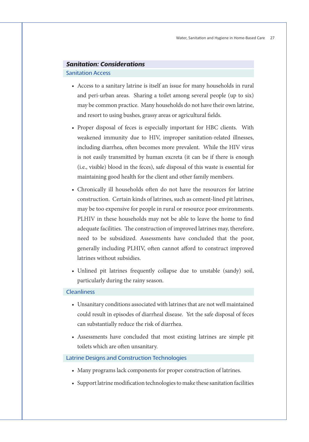# <span id="page-26-0"></span>*Sanitation: Considerations*

#### Sanitation Access

- • Access to a sanitary latrine is itself an issue for many households in rural and peri-urban areas. Sharing a toilet among several people (up to six) may be common practice. Many households do not have their own latrine, and resort to using bushes, grassy areas or agricultural fields.
- Proper disposal of feces is especially important for HBC clients. With weakened immunity due to HIV, improper sanitation-related illnesses, including diarrhea, often becomes more prevalent. While the HIV virus is not easily transmitted by human excreta (it can be if there is enough (i.e., visible) blood in the feces), safe disposal of this waste is essential for maintaining good health for the client and other family members.
- Chronically ill households often do not have the resources for latrine construction. Certain kinds of latrines, such as cement-lined pit latrines, may be too expensive for people in rural or resource poor environments. PLHIV in these households may not be able to leave the home to find adequate facilities. The construction of improved latrines may, therefore, need to be subsidized. Assessments have concluded that the poor, generally including PLHIV, often cannot afford to construct improved latrines without subsidies.
- • Unlined pit latrines frequently collapse due to unstable (sandy) soil, particularly during the rainy season.

#### Cleanliness

- • Unsanitary conditions associated with latrines that are not well maintained could result in episodes of diarrheal disease. Yet the safe disposal of feces can substantially reduce the risk of diarrhea.
- • Assessments have concluded that most existing latrines are simple pit toilets which are often unsanitary.

#### Latrine Designs and Construction Technologies

- • Many programs lack components for proper construction of latrines.
- Support latrine modification technologies to make these sanitation facilities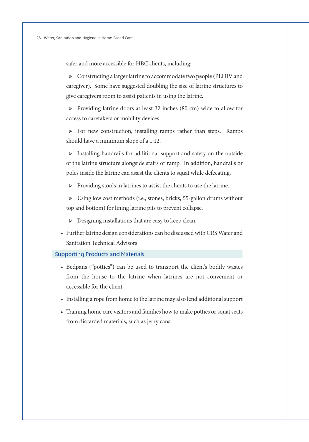<span id="page-27-0"></span>safer and more accessible for HBC clients, including:

➢ Constructing a larger latrine to accommodate two people (PLHIV and caregiver). Some have suggested doubling the size of latrine structures to give caregivers room to assist patients in using the latrine.

➢ Providing latrine doors at least 32 inches (80 cm) wide to allow for access to caretakers or mobility devices.

➢ For new construction, installing ramps rather than steps. Ramps should have a minimum slope of a 1:12.

➢ Installing handrails for additional support and safety on the outside of the latrine structure alongside stairs or ramp. In addition, handrails or poles inside the latrine can assist the clients to squat while defecating.

➢ Providing stools in latrines to assist the clients to use the latrine.

➢ Using low cost methods (i.e., stones, bricks, 55-gallon drums without top and bottom) for lining latrine pits to prevent collapse.

- ➢ Designing installations that are easy to keep clean.
- • Further latrine design considerations can be discussed with CRS Water and Sanitation Technical Advisors

#### Supporting Products and Materials

- • Bedpans ("potties") can be used to transport the client's bodily wastes from the house to the latrine when latrines are not convenient or accessible for the client
- • Installing a rope from home to the latrine may also lend additional support
- Training home care visitors and families how to make potties or squat seats from discarded materials, such as jerry cans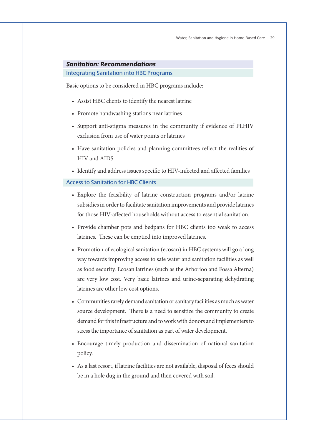# <span id="page-28-0"></span>*Sanitation: Recommendations*

Integrating Sanitation into HBC Programs

Basic options to be considered in HBC programs include:

- Assist HBC clients to identify the nearest latrine
- Promote handwashing stations near latrines
- • Support anti-stigma measures in the community if evidence of PLHIV exclusion from use of water points or latrines
- Have sanitation policies and planning committees reflect the realities of HIV and AIDS
- Identify and address issues specific to HIV-infected and affected families

### Access to Sanitation for HBC Clients

- • Explore the feasibility of latrine construction programs and/or latrine subsidies in order to facilitate sanitation improvements and provide latrines for those HIV-affected households without access to essential sanitation.
- Provide chamber pots and bedpans for HBC clients too weak to access latrines. These can be emptied into improved latrines.
- • Promotion of ecological sanitation (ecosan) in HBC systems will go a long way towards improving access to safe water and sanitation facilities as well as food security. Ecosan latrines (such as the Arborloo and Fossa Alterna) are very low cost. Very basic latrines and urine-separating dehydrating latrines are other low cost options.
- • Communities rarely demand sanitation or sanitary facilities as much as water source development. There is a need to sensitize the community to create demand for this infrastructure and to work with donors and implementers to stress the importance of sanitation as part of water development.
- • Encourage timely production and dissemination of national sanitation policy.
- As a last resort, if latrine facilities are not available, disposal of feces should be in a hole dug in the ground and then covered with soil.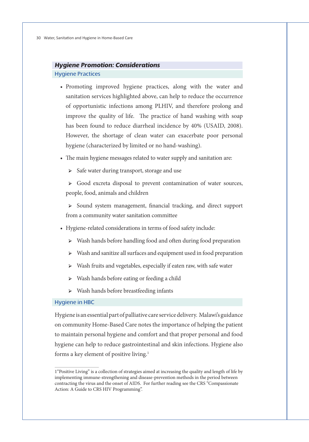#### <span id="page-29-0"></span>*Hygiene Promotion: Considerations*

Hygiene Practices

- • Promoting improved hygiene practices, along with the water and sanitation services highlighted above, can help to reduce the occurrence of opportunistic infections among PLHIV, and therefore prolong and improve the quality of life. The practice of hand washing with soap has been found to reduce diarrheal incidence by 40% (USAID, 2008). However, the shortage of clean water can exacerbate poor personal hygiene (characterized by limited or no hand-washing).
- The main hygiene messages related to water supply and sanitation are:
	- ➢ Safe water during transport, storage and use

➢ Good excreta disposal to prevent contamination of water sources, people, food, animals and children

➢ Sound system management, financial tracking, and direct support from a community water sanitation committee

- Hygiene-related considerations in terms of food safety include:
	- ➢ Wash hands before handling food and often during food preparation
	- ➢ Wash and sanitize all surfaces and equipment used in food preparation
	- ➢ Wash fruits and vegetables, especially if eaten raw, with safe water
	- ➢ Wash hands before eating or feeding a child
	- ➢ Wash hands before breastfeeding infants

### Hygiene in HBC

Hygiene is an essential part of palliative care service delivery. Malawi's guidance on community Home-Based Care notes the importance of helping the patient to maintain personal hygiene and comfort and that proper personal and food hygiene can help to reduce gastrointestinal and skin infections. Hygiene also forms a key element of positive living.<sup>1</sup>

<sup>1&</sup>quot;Positive Living" is a collection of strategies aimed at increasing the quality and length of life by implementing immune-strengthening and disease-prevention methods in the period between contracting the virus and the onset of AIDS. For further reading see the CRS "Compassionate Action: A Guide to CRS HIV Programming".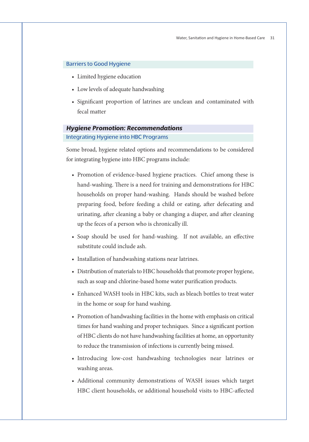#### <span id="page-30-0"></span>Barriers to Good Hygiene

- • Limited hygiene education
- • Low levels of adequate handwashing
- • Significant proportion of latrines are unclean and contaminated with fecal matter

#### *Hygiene Promotion: Recommendations*

Integrating Hygiene into HBC Programs

Some broad, hygiene related options and recommendations to be considered for integrating hygiene into HBC programs include:

- • Promotion of evidence-based hygiene practices. Chief among these is hand-washing. There is a need for training and demonstrations for HBC households on proper hand-washing. Hands should be washed before preparing food, before feeding a child or eating, after defecating and urinating, after cleaning a baby or changing a diaper, and after cleaning up the feces of a person who is chronically ill.
- • Soap should be used for hand-washing. If not available, an effective substitute could include ash.
- Installation of handwashing stations near latrines.
- • Distribution of materials to HBC households that promote proper hygiene, such as soap and chlorine-based home water purification products.
- Enhanced WASH tools in HBC kits, such as bleach bottles to treat water in the home or soap for hand washing.
- • Promotion of handwashing facilities in the home with emphasis on critical times for hand washing and proper techniques. Since a significant portion of HBC clients do not have handwashing facilities at home, an opportunity to reduce the transmission of infections is currently being missed.
- • Introducing low-cost handwashing technologies near latrines or washing areas.
- Additional community demonstrations of WASH issues which target HBC client households, or additional household visits to HBC-affected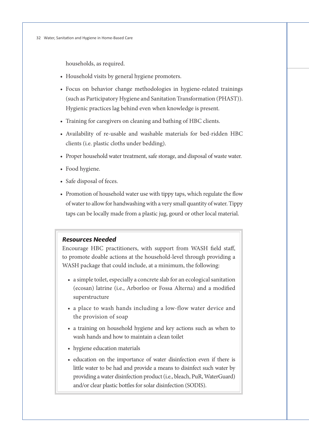<span id="page-31-0"></span>households, as required.

- Household visits by general hygiene promoters.
- Focus on behavior change methodologies in hygiene-related trainings (such as Participatory Hygiene and Sanitation Transformation (PHAST)). Hygienic practices lag behind even when knowledge is present.
- • Training for caregivers on cleaning and bathing of HBC clients.
- • Availability of re-usable and washable materials for bed-ridden HBC clients (i.e. plastic cloths under bedding).
- Proper household water treatment, safe storage, and disposal of waste water.
- Food hygiene.
- Safe disposal of feces.
- Promotion of household water use with tippy taps, which regulate the flow of water to allow for handwashing with a very small quantity of water. Tippy taps can be locally made from a plastic jug, gourd or other local material.

# *Resources Needed*

Encourage HBC practitioners, with support from WASH field staff, to promote doable actions at the household-level through providing a WASH package that could include, at a minimum, the following:

- • a simple toilet, especially a concrete slab for an ecological sanitation (ecosan) latrine (i.e., Arborloo or Fossa Alterna) and a modified superstructure
- a place to wash hands including a low-flow water device and the provision of soap
- a training on household hygiene and key actions such as when to wash hands and how to maintain a clean toilet
- hygiene education materials
- education on the importance of water disinfection even if there is little water to be had and provide a means to disinfect such water by providing a water disinfection product (i.e., bleach, PuR, WaterGuard) and/or clear plastic bottles for solar disinfection (SODIS).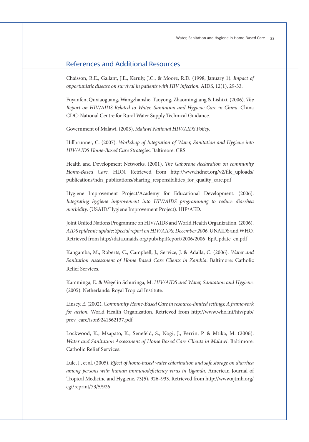# <span id="page-32-0"></span>References and Additional Resources

Chaisson, R.E., Gallant, J.E., Keruly, J.C., & Moore, R.D. (1998, January 1). *Impact of opportunistic disease on survival in patients with HIV infection.* AIDS, 12(1), 29-33.

Fuyanfen, Quxiaoguang, Wangzhanshe, Taoyong, Zhaomingjiang & Lishixi. (2006). *The Report on HIV/AIDS Related to Water, Sanitation and Hygiene Care in China*. China CDC: National Centre for Rural Water Supply Technical Guidance.

Government of Malawi. (2003). *Malawi National HIV/AIDS Policy*.

Hillbrunner, C. (2007). *Workshop of Integration of Water, Sanitation and Hygiene into HIV/AIDS Home-Based Care Strategies*. Baltimore: CRS.

Health and Development Networks. (2001). *The Gaborone declaration on community Home-Based Care.* HDN. Retrieved from http://www.hdnet.org/v2/file\_uploads/ publications/hdn\_publications/sharing\_responsibilities\_for\_quality\_care.pdf

Hygiene Improvement Project/Academy for Educational Development. (2006). *Integrating hygiene improvement into HIV/AIDS programming to reduce diarrhea morbidity*. (USAID/Hygiene Improvement Project). HIP/AED.

Joint United Nations Programme on HIV/AIDS and World Health Organization. (2006). *AIDS epidemic update: Special report on HIV/AIDS: December 2006*. UNAIDS and WHO. Retrieved from http://data.unaids.org/pub/EpiReport/2006/2006\_EpiUpdate\_en.pdf

Kangamba, M., Roberts, C., Campbell, J., Service, J. & Adalla, C. (2006). *Water and Sanitation Assessment of Home Based Care Clients in Zambia*. Baltimore: Catholic Relief Services.

Kamminga, E. & Wegelin Schuringa, M. *HIV/AIDS and Water, Sanitation and Hygiene.*  (2005). Netherlands: Royal Tropical Institute.

Linsey, E. (2002). *Community Home-Based Care in resource-limited settings: A framework for action.* World Health Organization. Retrieved from http://www.who.int/hiv/pub/ prev\_care/isbn9241562137.pdf

Lockwood, K., Msapato, K., Senefeld, S., Nogi, J., Perrin, P. & Mtika, M. (2006). *Water and Sanitation Assessment of Home Based Care Clients in Malawi*. Baltimore: Catholic Relief Services.

Lule, J., et al. (2005). *Effect of home-based water chlorination and safe storage on diarrhea among persons with human immunodeficiency virus in Uganda*. American Journal of Tropical Medicine and Hygiene, 73(5), 926–933. Retrieved from http://www.ajtmh.org/ cgi/reprint/73/5/926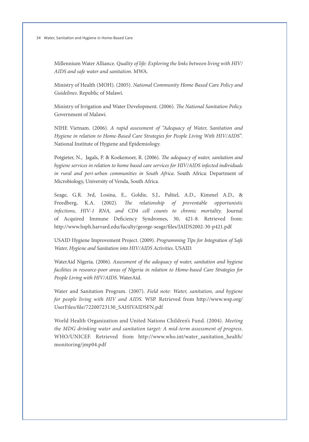Millennium Water Alliance. *Quality of life: Exploring the links between living with HIV/ AIDS and safe water and sanitation*. MWA.

Ministry of Health (MOH). (2005). *National Community Home Based Care Policy and Guidelines*. Republic of Malawi.

Ministry of Irrigation and Water Development. (2006). *The National Sanitation Policy.*  Government of Malawi.

NIHE Vietnam. (2006). *A rapid assessment of "Adequacy of Water, Sanitation and Hygiene in relation to Home-Based Care Strategies for People Living With HIV/AIDS".*  National Institute of Hygiene and Epidemiology.

Potgieter, N., Jagals, P. & Koekemoer, R. (2006). *The adequacy of water, sanitation and hygiene services in relation to home based care services for HIV/AIDS infected individuals in rural and peri-urban communities in South Africa*. South Africa: Department of Microbiology, University of Venda, South Africa.

Seage, G.R. 3rd, Losina, E., Goldie, S.J., Paltiel, A.D., Kimmel A.D., & Freedberg, K.A. (2002). *The relationship of preventable opportunistic infections, HIV-1 RNA, and CD4 cell counts to chronic mortality.* Journal of Acquired Immune Deficiency Syndromes, 30, 421-8. Retrieved from: http://www.hsph.harvard.edu/faculty/george-seage/files/JAIDS2002-30-p421.pdf

USAID Hygiene Improvement Project. (2009). *Programming Tips for Integration of Safe Water, Hygiene and Sanitation into HIV/AIDS Activities*. USAID.

WaterAid Nigeria. (2006). *Assessment of the adequacy of water, sanitation and hygiene facilities in resource-poor areas of Nigeria in relation to Home-based Care Strategies for People Living with HIV/AIDS*. WaterAid.

Water and Sanitation Program. (2007). *Field note: Water, sanitation, and hygiene for people living with HIV and AIDS*. WSP. Retrieved from http://www.wsp.org/ UserFiles/file/72200723130\_SAHIVAIDSFN.pdf

World Health Organization and United Nations Children's Fund. (2004). *Meeting the MDG drinking water and sanitation target: A mid-term assessment of progress*. WHO/UNICEF. Retrieved from http://www.who.int/water\_sanitation\_health/ monitoring/jmp04.pdf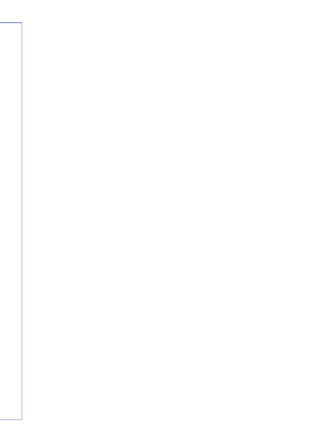